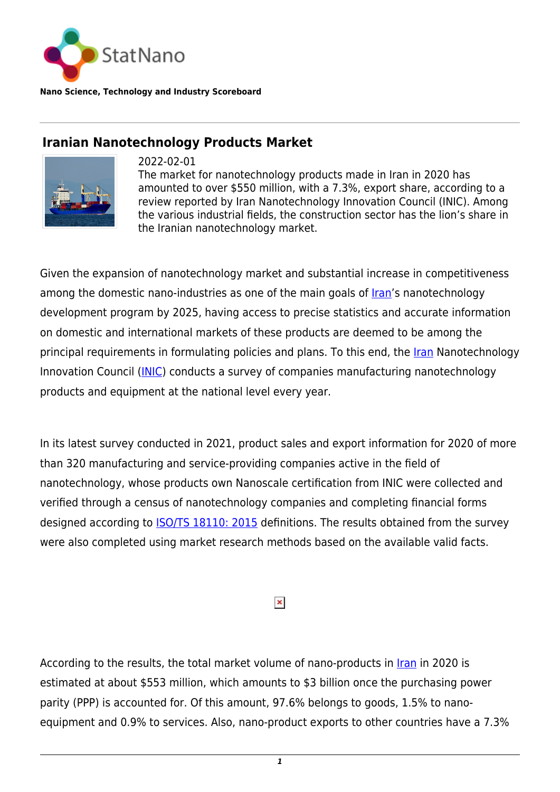

**Nano Science, Technology and Industry Scoreboard**

## **Iranian Nanotechnology Products Market**



2022-02-01 The market for nanotechnology products made in Iran in 2020 has amounted to over \$550 million, with a 7.3%, export share, according to a review reported by Iran Nanotechnology Innovation Council (INIC). Among the various industrial fields, the construction sector has the lion's share in the Iranian nanotechnology market.

Given the expansion of nanotechnology market and substantial increase in competitiveness among the domestic nano-industries as one of the main goals of *Iran's* nanotechnology development program by 2025, having access to precise statistics and accurate information on domestic and international markets of these products are deemed to be among the principal requirements in formulating policies and plans. To this end, the *Iran* Nanotechnology Innovation Council [\(INIC](https://en.nano.ir)) conducts a survey of companies manufacturing nanotechnology products and equipment at the national level every year.

In its latest survey conducted in 2021, product sales and export information for 2020 of more than 320 manufacturing and service-providing companies active in the field of nanotechnology, whose products own Nanoscale certification from INIC were collected and verified through a census of nanotechnology companies and completing financial forms designed according to [ISO/TS 18110: 2015](https://statnano.com/standard/iso/724/ISOTS-18110-2015) definitions. The results obtained from the survey were also completed using market research methods based on the available valid facts.

## $\pmb{\times}$

According to the results, the total market volume of nano-products in [Iran](http://statnano.com/country/Iran) in 2020 is estimated at about \$553 million, which amounts to \$3 billion once the purchasing power parity (PPP) is accounted for. Of this amount, 97.6% belongs to goods, 1.5% to nanoequipment and 0.9% to services. Also, nano-product exports to other countries have a 7.3%